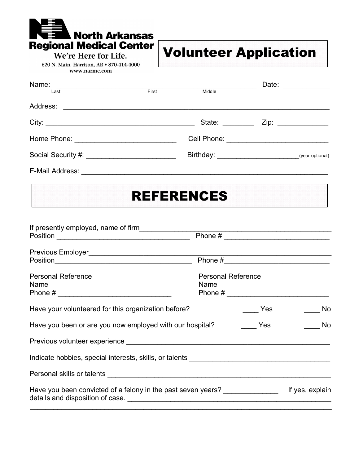**Regional Medical Center** We're Here for Life.

**North Arkansas** 

620 N. Main, Harrison, AR • 870-414-4000 www.narmc.com

## **Volunteer Application**

| Name:                            |       |               |  | Date: ____________  |
|----------------------------------|-------|---------------|--|---------------------|
| Last                             | First | Middle        |  |                     |
| Address:                         |       |               |  |                     |
|                                  |       | State: State: |  | Zip: ______________ |
|                                  |       |               |  |                     |
|                                  |       |               |  |                     |
| E-Mail Address: ________________ |       |               |  |                     |

## **REFERENCES**

| If presently employed, name of firm                                                                            |                           |                   |                 |
|----------------------------------------------------------------------------------------------------------------|---------------------------|-------------------|-----------------|
|                                                                                                                |                           |                   |                 |
|                                                                                                                |                           |                   |                 |
|                                                                                                                |                           |                   |                 |
| <b>Personal Reference</b>                                                                                      | <b>Personal Reference</b> |                   |                 |
|                                                                                                                |                           |                   |                 |
| Have your volunteered for this organization before?                                                            |                           | <b>Parage Yes</b> | No              |
| Have you been or are you now employed with our hospital?                                                       |                           | <b>Parade Yes</b> | in No           |
| Previous volunteer experience example and the state of the state of the state of the state of the state of the |                           |                   |                 |
| Indicate hobbies, special interests, skills, or talents _________________________                              |                           |                   |                 |
|                                                                                                                |                           |                   |                 |
| Have you been convicted of a felony in the past seven years?                                                   |                           |                   | If yes, explain |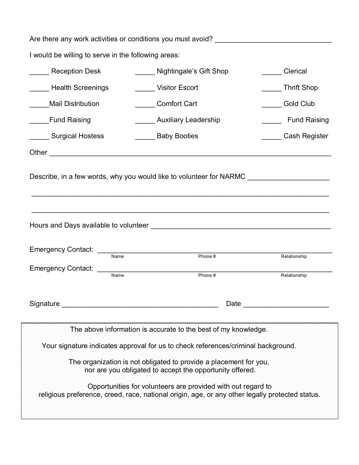| Are there any work activities or conditions you must avoid? _____________________                                                                                                                                                    |                              |                                                                                                                                                                                                                                |  |  |  |  |  |
|--------------------------------------------------------------------------------------------------------------------------------------------------------------------------------------------------------------------------------------|------------------------------|--------------------------------------------------------------------------------------------------------------------------------------------------------------------------------------------------------------------------------|--|--|--|--|--|
| I would be willing to serve in the following areas:                                                                                                                                                                                  |                              |                                                                                                                                                                                                                                |  |  |  |  |  |
| Reception Desk                                                                                                                                                                                                                       | Nightingale's Gift Shop      | <b>Clerical</b>                                                                                                                                                                                                                |  |  |  |  |  |
| <b>Example 3</b> Health Screenings                                                                                                                                                                                                   | Visitor Escort               | Thrift Shop                                                                                                                                                                                                                    |  |  |  |  |  |
| <b>Mail Distribution</b>                                                                                                                                                                                                             | Comfort Cart                 | Gold Club                                                                                                                                                                                                                      |  |  |  |  |  |
| <b>Fund Raising</b>                                                                                                                                                                                                                  | <b>Auxiliary Leadership</b>  | _____ Fund Raising                                                                                                                                                                                                             |  |  |  |  |  |
| Surgical Hostess                                                                                                                                                                                                                     | <b>No. Example 3</b> Booties | Cash Register                                                                                                                                                                                                                  |  |  |  |  |  |
|                                                                                                                                                                                                                                      |                              |                                                                                                                                                                                                                                |  |  |  |  |  |
| Describe, in a few words, why you would like to volunteer for NARMC<br>,我们也不会有什么。""我们的人,我们也不会有什么?""我们的人,我们也不会有什么?""我们的人,我们也不会有什么?""我们的人,我们也不会有什么?""我们的人                                                                              |                              |                                                                                                                                                                                                                                |  |  |  |  |  |
| Hours and Days available to volunteer <b>contain the contract of the contract of the contract of the contract of the contract of the contract of the contract of the contract of the contract of the contract of the contract of</b> |                              |                                                                                                                                                                                                                                |  |  |  |  |  |
| Name                                                                                                                                                                                                                                 | Phone#                       | Relationship                                                                                                                                                                                                                   |  |  |  |  |  |
| Emergency Contact: ________<br>Name                                                                                                                                                                                                  | Phone#                       | Relationship                                                                                                                                                                                                                   |  |  |  |  |  |
| Signature Signature Signature Signature Signature Signature Signature Signature Signature Signature Signature Signature Signature Signature Signature Signature Signature Signature Signature Signature Signature Signature Si       |                              | Date and the contract of the contract of the contract of the contract of the contract of the contract of the contract of the contract of the contract of the contract of the contract of the contract of the contract of the c |  |  |  |  |  |
|                                                                                                                                                                                                                                      |                              |                                                                                                                                                                                                                                |  |  |  |  |  |
| The above information is accurate to the best of my knowledge.                                                                                                                                                                       |                              |                                                                                                                                                                                                                                |  |  |  |  |  |
| Your signature indicates approval for us to check references/criminal background.                                                                                                                                                    |                              |                                                                                                                                                                                                                                |  |  |  |  |  |
| The organization is not obligated to provide a placement for you,<br>nor are you obligated to accept the opportunity offered.                                                                                                        |                              |                                                                                                                                                                                                                                |  |  |  |  |  |
| Opportunities for volunteers are provided with out regard to<br>religious preference, creed, race, national origin, age, or any other legally protected status.                                                                      |                              |                                                                                                                                                                                                                                |  |  |  |  |  |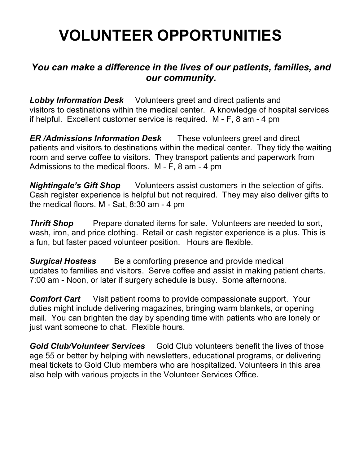# **VOLUNTEER OPPORTUNITIES**

### *You can make a difference in the lives of our patients, families, and our community.*

*Lobby Information Desk* Volunteers greet and direct patients and visitors to destinations within the medical center. A knowledge of hospital services if helpful. Excellent customer service is required.  $M - F$ , 8 am  $-4$  pm

*ER /Admissions Information Desk* These volunteers greet and direct patients and visitors to destinations within the medical center. They tidy the waiting room and serve coffee to visitors. They transport patients and paperwork from Admissions to the medical floors.  $M - F$ , 8 am  $-4$  pm

*Nightingale's Gift Shop* Volunteers assist customers in the selection of gifts. Cash register experience is helpful but not required. They may also deliver gifts to the medical floors.  $M - Sat$ , 8:30 am  $-4$  pm

**Thrift Shop** Prepare donated items for sale. Volunteers are needed to sort, wash, iron, and price clothing. Retail or cash register experience is a plus. This is a fun, but faster paced volunteer position. Hours are flexible.

**Surgical Hostess** Be a comforting presence and provide medical updates to families and visitors. Serve coffee and assist in making patient charts. 7:00 am - Noon, or later if surgery schedule is busy. Some afternoons.

**Comfort Cart** Visit patient rooms to provide compassionate support. Your duties might include delivering magazines, bringing warm blankets, or opening mail. You can brighten the day by spending time with patients who are lonely or just want someone to chat. Flexible hours.

**Gold Club/Volunteer Services** Gold Club volunteers benefit the lives of those age 55 or better by helping with newsletters, educational programs, or delivering meal tickets to Gold Club members who are hospitalized. Volunteers in this area also help with various projects in the Volunteer Services Office.